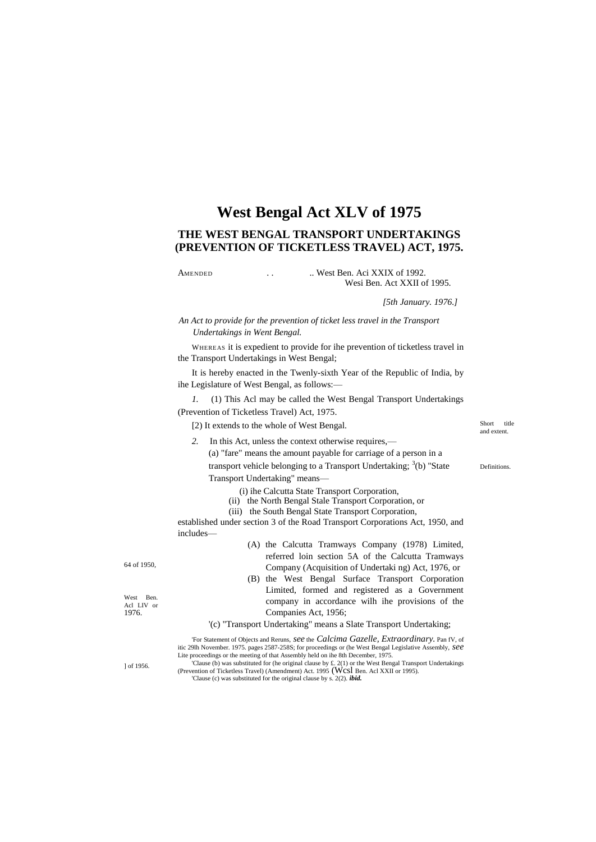# **West Bengal Act XLV of 1975**

## **THE WEST BENGAL TRANSPORT UNDERTAKINGS (PREVENTION OF TICKETLESS TRAVEL) ACT, 1975.**

AMENDED ... West Ben. Aci XXIX of 1992. Wesi Ben. Act XXII of 1995.

*[5th January. 1976.]*

*An Act to provide for the prevention of ticket less travel in the Transport Undertakings in Went Bengal.*

WHEREAS it is expedient to provide for ihe prevention of ticketless travel in the Transport Undertakings in West Bengal;

It is hereby enacted in the Twenly-sixth Year of the Republic of India, by ihe Legislature of West Bengal, as follows:—

*1.* (1) This Acl may be called the West Bengal Transport Undertakings (Prevention of Ticketless Travel) Act, 1975.

[2) It extends to the whole of West Bengal.

Short title and extent.

Definitions.

*2.* In this Act, unless the context otherwise requires,— (a) "fare" means the amount payable for carriage of a person in a transport vehicle belonging to a Transport Undertaking;  $3$ (b) "State Transport Undertaking" means—

(i) ihe Calcutta State Transport Corporation,

- (ii) the North Bengal Stale Transport Corporation, or
- (iii) the South Bengal State Transport Corporation,

established under section 3 of the Road Transport Corporations Act, 1950, and includes—

64 of 1950,

West Ben. Acl LIV or 1976.

Company (Acquisition of Undertaki ng) Act, 1976, or (B) the West Bengal Surface Transport Corporation Limited, formed and registered as a Government company in accordance wilh ihe provisions of the Companies Act, 1956; '(c) "Transport Undertaking" means a Slate Transport Undertaking;

(A) the Calcutta Tramways Company (1978) Limited, referred loin section 5A of the Calcutta Tramways

'For Statement of Objects and Reruns, *see* the *Calcima Gazelle, Extraordinary.* Pan fV, of itic 29lh November. 1975. pages 2587-258S; for proceedings or (he West Bengal Legislative Assembly, *see* Lite proceedings or the meeting of that Assembly held on ihe 8th December, 1975.

] of 1956.

'Clause (b) was substituted for (he original clause by £. 2(1) or the West Bengal Transport Undertakings (Prevention of Ticketless Travel) (Amendment) Act. 1995 (Wcsl Ben. Acl XXII or 1995). 'Clause (c) was substituted for the original clause by s. 2(2). *ibid.*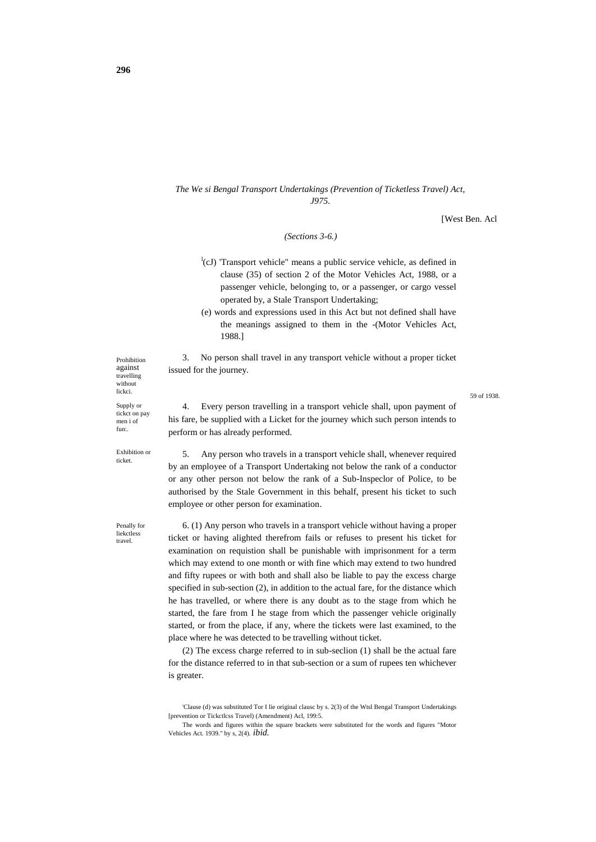### *The We si Bengal Transport Undertakings (Prevention of Ticketless Travel) Act, J975.*

[West Ben. Acl

*(Sections 3-6.)*

- <sup>1</sup>(cJ) 'Transport vehicle" means a public service vehicle, as defined in clause (35) of section 2 of the Motor Vehicles Act, 1988, or a passenger vehicle, belonging to, or a passenger, or cargo vessel operated by, a Stale Transport Undertaking;
- (e) words and expressions used in this Act but not defined shall have the meanings assigned to them in the -(Motor Vehicles Act, 1988.]

3. No person shall travel in any transport vehicle without a proper ticket issued for the journey.

59 of 1938.

4. Every person travelling in a transport vehicle shall, upon payment of his fare, be supplied with a Licket for the journey which such person intends to perform or has already performed.

5. Any person who travels in a transport vehicle shall, whenever required by an employee of a Transport Undertaking not below the rank of a conductor or any other person not below the rank of a Sub-Inspeclor of Police, to be authorised by the Stale Government in this behalf, present his ticket to such employee or other person for examination.

6. (1) Any person who travels in a transport vehicle without having a proper ticket or having alighted therefrom fails or refuses to present his ticket for examination on requistion shall be punishable with imprisonment for a term which may extend to one month or with fine which may extend to two hundred and fifty rupees or with both and shall also be liable to pay the excess charge specified in sub-section (2), in addition to the actual fare, for the distance which he has travelled, or where there is any doubt as to the stage from which he started, the fare from I he stage from which the passenger vehicle originally started, or from the place, if any, where the tickets were last examined, to the place where he was detected to be travelling without ticket.

(2) The excess charge referred to in sub-seclion (1) shall be the actual fare for the distance referred to in that sub-section or a sum of rupees ten whichever is greater.

Prohibition against travelling without lickci. Supply or

tickct on pay men i of fun:.

Exhibition or ticket.

Penally for liekctless travel.

<sup>&#</sup>x27;Clause (d) was substituted Tor I lie original clausc by s. 2(3) of the Wtsl Bengal Transport Undertakings [prevention or Tickctlcss Travel) (Amendment) Acl, 199:5.

The words and figures within the square brackets were substituted for the words and figures "Motor Vehicles Act. 1939." by s, 2(4). *ibid.*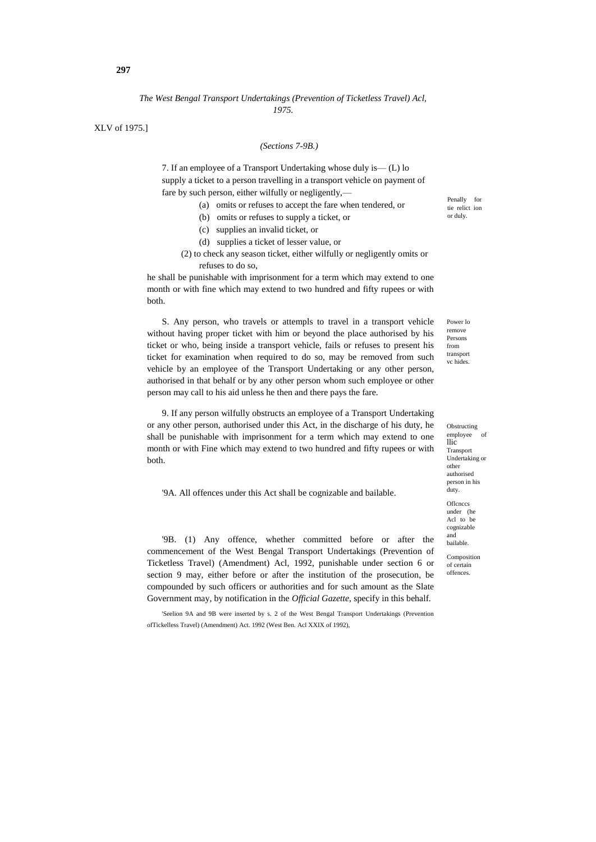### *The West Bengal Transport Undertakings (Prevention of Ticketless Travel) Acl, 1975.*

XLV of 1975.]

#### *(Sections 7-9B.)*

7. If an employee of a Transport Undertaking whose duly is— (L) lo supply a ticket to a person travelling in a transport vehicle on payment of fare by such person, either wilfully or negligently,—

- (a) omits or refuses to accept the fare when tendered, or
- (b) omits or refuses to supply a ticket, or
- (c) supplies an invalid ticket, or
- (d) supplies a ticket of lesser value, or
- (2) to check any season ticket, either wilfully or negligently omits or refuses to do so,

he shall be punishable with imprisonment for a term which may extend to one month or with fine which may extend to two hundred and fifty rupees or with both.

S. Any person, who travels or attempls to travel in a transport vehicle without having proper ticket with him or beyond the place authorised by his ticket or who, being inside a transport vehicle, fails or refuses to present his ticket for examination when required to do so, may be removed from such vehicle by an employee of the Transport Undertaking or any other person, authorised in that behalf or by any other person whom such employee or other person may call to his aid unless he then and there pays the fare.

9. If any person wilfully obstructs an employee of a Transport Undertaking or any other person, authorised under this Act, in the discharge of his duty, he shall be punishable with imprisonment for a term which may extend to one month or with Fine which may extend to two hundred and fifty rupees or with both.

'9A. All offences under this Act shall be cognizable and bailable.

'9B. (1) Any offence, whether committed before or after the commencement of the West Bengal Transport Undertakings (Prevention of Ticketless Travel) (Amendment) Acl, 1992, punishable under section 6 or section 9 may, either before or after the institution of the prosecution, be compounded by such officers or authorities and for such amount as the Slate Government may, by notification in the *Official Gazette,* specify in this behalf.

'Seelion 9A and 9B were inserted by s. 2 of the West Bengal Transport Undertakings (Prevention ofTickelless Travel) (Amendment) Act. 1992 (West Ben. Acl XXIX of 1992),

Penally for tie relict ion or duly.

Power lo remove Persons from transport vc hides.

Obstructing employee llic Transport Undertaking or other authorised person in his duty. **Oflences** under (he Acl to be cognizable and bailable.

Composition of certain offences.